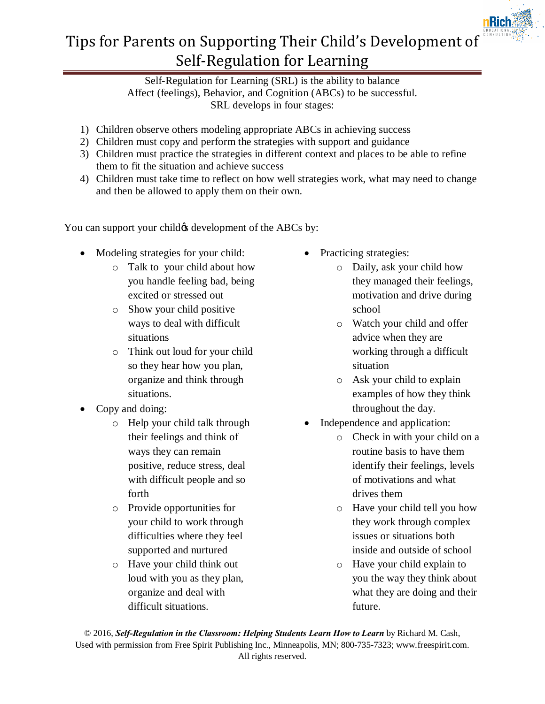

## Tips for Parents on Supporting Their Child's Development of Self-Regulation for Learning

Self-Regulation for Learning (SRL) is the ability to balance Affect (feelings), Behavior, and Cognition (ABCs) to be successful. SRL develops in four stages:

- 1) Children observe others modeling appropriate ABCs in achieving success
- 2) Children must copy and perform the strategies with support and guidance
- 3) Children must practice the strategies in different context and places to be able to refine them to fit the situation and achieve success
- 4) Children must take time to reflect on how well strategies work, what may need to change and then be allowed to apply them on their own.

You can support your child  $\alpha$  development of the ABCs by:

- Modeling strategies for your child:
	- o Talk to your child about how you handle feeling bad, being excited or stressed out
	- o Show your child positive ways to deal with difficult situations
	- o Think out loud for your child so they hear how you plan, organize and think through situations.
- Copy and doing:
	- o Help your child talk through their feelings and think of ways they can remain positive, reduce stress, deal with difficult people and so forth
	- o Provide opportunities for your child to work through difficulties where they feel supported and nurtured
	- o Have your child think out loud with you as they plan, organize and deal with difficult situations.
- Practicing strategies:
	- o Daily, ask your child how they managed their feelings, motivation and drive during school
	- o Watch your child and offer advice when they are working through a difficult situation
	- o Ask your child to explain examples of how they think throughout the day.
- Independence and application:
	- o Check in with your child on a routine basis to have them identify their feelings, levels of motivations and what drives them
	- o Have your child tell you how they work through complex issues or situations both inside and outside of school
	- o Have your child explain to you the way they think about what they are doing and their future.

© 2016, *Self-Regulation in the Classroom: Helping Students Learn How to Learn* by Richard M. Cash, Used with permission from Free Spirit Publishing Inc., Minneapolis, MN; 800-735-7323; www.freespirit.com. All rights reserved.